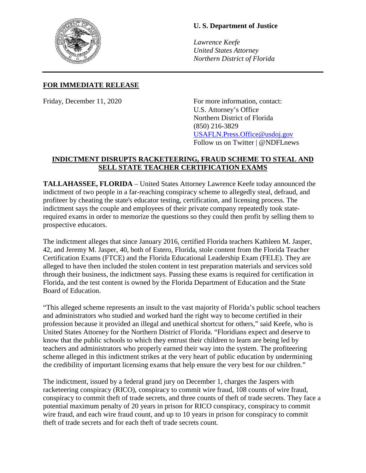

## **U. S. Department of Justice**

*Lawrence Keefe United States Attorney Northern District of Florida*

## **FOR IMMEDIATE RELEASE**

Friday, December 11, 2020 For more information, contact: U.S. Attorney's Office Northern District of Florida (850) 216-3829 [USAFLN.Press.Office@usdoj.gov](mailto:USAFLN.Press.Office@usdoj.gov) Follow us on Twitter | @NDFLnews

## **INDICTMENT DISRUPTS RACKETEERING, FRAUD SCHEME TO STEAL AND SELL STATE TEACHER CERTIFICATION EXAMS**

**TALLAHASSEE, FLORIDA** – United States Attorney Lawrence Keefe today announced the indictment of two people in a far-reaching conspiracy scheme to allegedly steal, defraud, and profiteer by cheating the state's educator testing, certification, and licensing process. The indictment says the couple and employees of their private company repeatedly took staterequired exams in order to memorize the questions so they could then profit by selling them to prospective educators.

The indictment alleges that since January 2016, certified Florida teachers Kathleen M. Jasper, 42, and Jeremy M. Jasper, 40, both of Estero, Florida, stole content from the Florida Teacher Certification Exams (FTCE) and the Florida Educational Leadership Exam (FELE). They are alleged to have then included the stolen content in test preparation materials and services sold through their business, the indictment says. Passing these exams is required for certification in Florida, and the test content is owned by the Florida Department of Education and the State Board of Education.

"This alleged scheme represents an insult to the vast majority of Florida's public school teachers and administrators who studied and worked hard the right way to become certified in their profession because it provided an illegal and unethical shortcut for others," said Keefe, who is United States Attorney for the Northern District of Florida. "Floridians expect and deserve to know that the public schools to which they entrust their children to learn are being led by teachers and administrators who properly earned their way into the system. The profiteering scheme alleged in this indictment strikes at the very heart of public education by undermining the credibility of important licensing exams that help ensure the very best for our children."

The indictment, issued by a federal grand jury on December 1, charges the Jaspers with racketeering conspiracy (RICO), conspiracy to commit wire fraud, 108 counts of wire fraud, conspiracy to commit theft of trade secrets, and three counts of theft of trade secrets. They face a potential maximum penalty of 20 years in prison for RICO conspiracy, conspiracy to commit wire fraud, and each wire fraud count, and up to 10 years in prison for conspiracy to commit theft of trade secrets and for each theft of trade secrets count.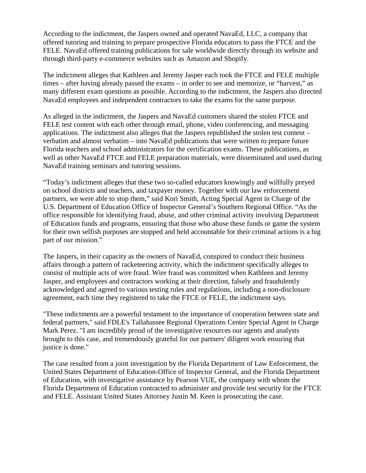According to the indictment, the Jaspers owned and operated NavaEd, LLC, a company that offered tutoring and training to prepare prospective Florida educators to pass the FTCE and the FELE. NavaEd offered training publications for sale worldwide directly through its website and through third-party e-commerce websites such as Amazon and Shopify.

The indictment alleges that Kathleen and Jeremy Jasper each took the FTCE and FELE multiple times – after having already passed the exams – in order to see and memorize, or "harvest," as many different exam questions as possible. According to the indictment, the Jaspers also directed NavaEd employees and independent contractors to take the exams for the same purpose.

As alleged in the indictment, the Jaspers and NavaEd customers shared the stolen FTCE and FELE test content with each other through email, phone, video conferencing, and messaging applications. The indictment also alleges that the Jaspers republished the stolen test content – verbatim and almost verbatim – into NavaEd publications that were written to prepare future Florida teachers and school administrators for the certification exams. These publications, as well as other NavaEd FTCE and FELE preparation materials, were disseminated and used during NavaEd training seminars and tutoring sessions.

"Today's indictment alleges that these two so-called educators knowingly and willfully preyed on school districts and teachers, and taxpayer money. Together with our law enforcement partners, we were able to stop them," said Kori Smith, Acting Special Agent in Charge of the U.S. Department of Education Office of Inspector General's Southern Regional Office. "As the office responsible for identifying fraud, abuse, and other criminal activity involving Department of Education funds and programs, ensuring that those who abuse these funds or game the system for their own selfish purposes are stopped and held accountable for their criminal actions is a big part of our mission."

The Jaspers, in their capacity as the owners of NavaEd, conspired to conduct their business affairs through a pattern of racketeering activity, which the indictment specifically alleges to consist of multiple acts of wire fraud. Wire fraud was committed when Kathleen and Jeremy Jasper, and employees and contractors working at their direction, falsely and fraudulently acknowledged and agreed to various testing rules and regulations, including a non-disclosure agreement, each time they registered to take the FTCE or FELE, the indictment says.

"These indictments are a powerful testament to the importance of cooperation between state and federal partners," said FDLE's Tallahassee Regional Operations Center Special Agent in Charge Mark Perez. "I am incredibly proud of the investigative resources our agents and analysts brought to this case, and tremendously grateful for our partners' diligent work ensuring that justice is done."

The case resulted from a joint investigation by the Florida Department of Law Enforcement, the United States Department of Education-Office of Inspector General, and the Florida Department of Education, with investigative assistance by Pearson VUE, the company with whom the Florida Department of Education contracted to administer and provide test security for the FTCE and FELE. Assistant United States Attorney Justin M. Keen is prosecuting the case.